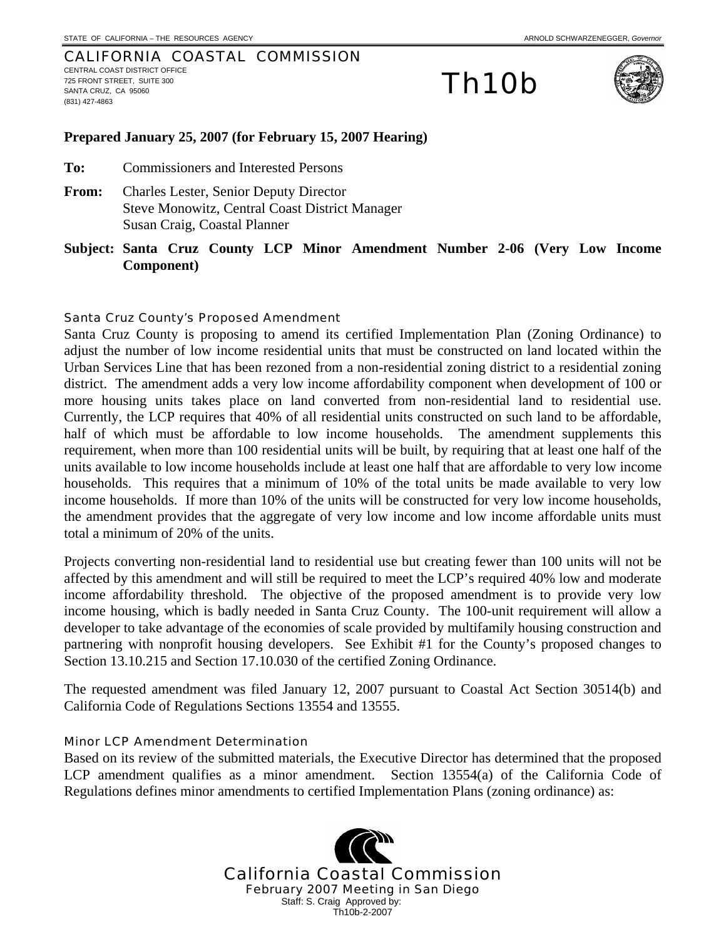#### CALIFORNIA COASTAL COMMISSION CENTRAL COAST DISTRICT OFFICE 725 FRONT STREET, SUITE 300 SANTA CRUZ, CA 95060 (831) 427-4863

# Th10b



#### **Prepared January 25, 2007 (for February 15, 2007 Hearing)**

**To:** Commissioners and Interested Persons

- **From:** Charles Lester, Senior Deputy Director Steve Monowitz, Central Coast District Manager Susan Craig, Coastal Planner
- **Subject: Santa Cruz County LCP Minor Amendment Number 2-06 (Very Low Income Component)**

#### Santa Cruz County's Proposed Amendment

Santa Cruz County is proposing to amend its certified Implementation Plan (Zoning Ordinance) to adjust the number of low income residential units that must be constructed on land located within the Urban Services Line that has been rezoned from a non-residential zoning district to a residential zoning district. The amendment adds a very low income affordability component when development of 100 or more housing units takes place on land converted from non-residential land to residential use. Currently, the LCP requires that 40% of all residential units constructed on such land to be affordable, half of which must be affordable to low income households. The amendment supplements this requirement, when more than 100 residential units will be built, by requiring that at least one half of the units available to low income households include at least one half that are affordable to very low income households. This requires that a minimum of 10% of the total units be made available to very low income households. If more than 10% of the units will be constructed for very low income households, the amendment provides that the aggregate of very low income and low income affordable units must total a minimum of 20% of the units.

Projects converting non-residential land to residential use but creating fewer than 100 units will not be affected by this amendment and will still be required to meet the LCP's required 40% low and moderate income affordability threshold. The objective of the proposed amendment is to provide very low income housing, which is badly needed in Santa Cruz County. The 100-unit requirement will allow a developer to take advantage of the economies of scale provided by multifamily housing construction and partnering with nonprofit housing developers. See Exhibit #1 for the County's proposed changes to Section 13.10.215 and Section 17.10.030 of the certified Zoning Ordinance.

The requested amendment was filed January 12, 2007 pursuant to Coastal Act Section 30514(b) and California Code of Regulations Sections 13554 and 13555.

#### Minor LCP Amendment Determination

Based on its review of the submitted materials, the Executive Director has determined that the proposed LCP amendment qualifies as a minor amendment. Section 13554(a) of the California Code of Regulations defines minor amendments to certified Implementation Plans (zoning ordinance) as:

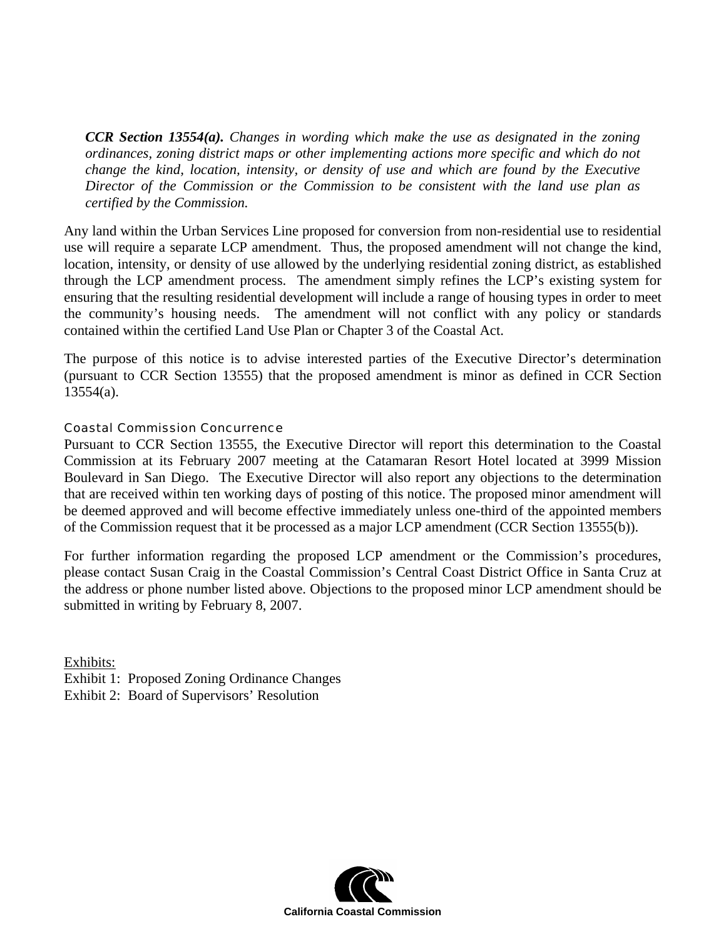*CCR Section 13554(a). Changes in wording which make the use as designated in the zoning ordinances, zoning district maps or other implementing actions more specific and which do not change the kind, location, intensity, or density of use and which are found by the Executive Director of the Commission or the Commission to be consistent with the land use plan as certified by the Commission.* 

Any land within the Urban Services Line proposed for conversion from non-residential use to residential use will require a separate LCP amendment. Thus, the proposed amendment will not change the kind, location, intensity, or density of use allowed by the underlying residential zoning district, as established through the LCP amendment process. The amendment simply refines the LCP's existing system for ensuring that the resulting residential development will include a range of housing types in order to meet the community's housing needs. The amendment will not conflict with any policy or standards contained within the certified Land Use Plan or Chapter 3 of the Coastal Act.

The purpose of this notice is to advise interested parties of the Executive Director's determination (pursuant to CCR Section 13555) that the proposed amendment is minor as defined in CCR Section 13554(a).

## Coastal Commission Concurrence

Pursuant to CCR Section 13555, the Executive Director will report this determination to the Coastal Commission at its February 2007 meeting at the Catamaran Resort Hotel located at 3999 Mission Boulevard in San Diego. The Executive Director will also report any objections to the determination that are received within ten working days of posting of this notice. The proposed minor amendment will be deemed approved and will become effective immediately unless one-third of the appointed members of the Commission request that it be processed as a major LCP amendment (CCR Section 13555(b)).

For further information regarding the proposed LCP amendment or the Commission's procedures, please contact Susan Craig in the Coastal Commission's Central Coast District Office in Santa Cruz at the address or phone number listed above. Objections to the proposed minor LCP amendment should be submitted in writing by February 8, 2007.

Exhibits: Exhibit 1: Proposed Zoning Ordinance Changes Exhibit 2: Board of Supervisors' Resolution

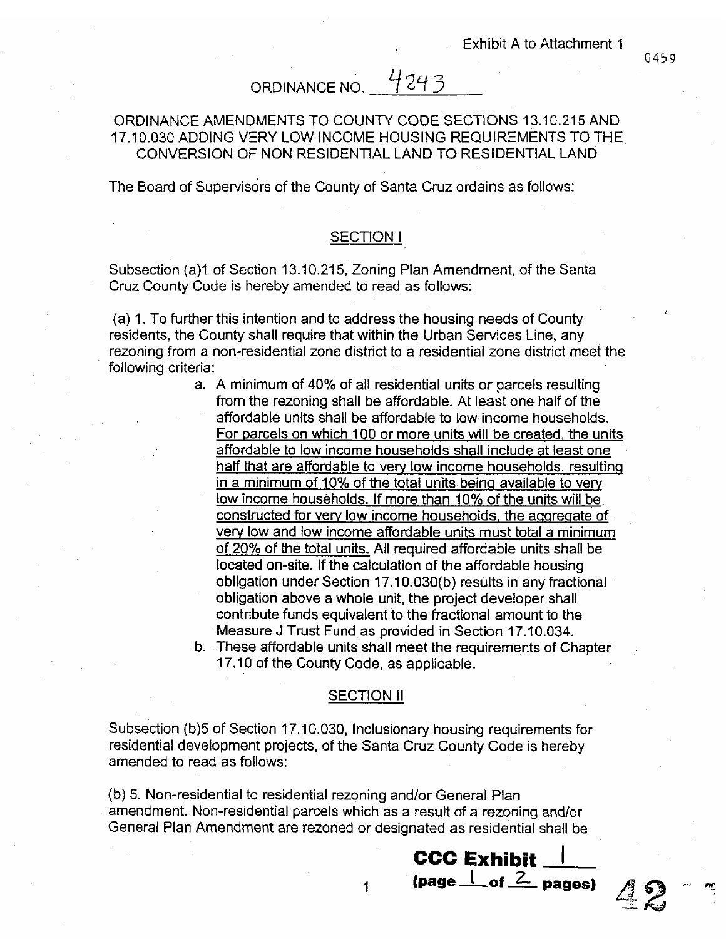## ORDINANCE NO. 4243

## ORDINANCE AMENDMENTS TO COUNTY CODE SECTIONS 13.10.215 AND 17,10,030 ADDING VERY LOW INCOME HOUSING REQUIREMENTS TO THE CONVERSION OF NON RESIDENTIAL LAND TO RESIDENTIAL LAND

The Board of Supervisors of the County of Santa Cruz ordains as follows:

## **SECTION I**

Subsection (a)1 of Section 13.10.215, Zoning Plan Amendment, of the Santa Cruz County Code is hereby amended to read as follows:

(a) 1. To further this intention and to address the housing needs of County residents, the County shall require that within the Urban Services Line, any rezoning from a non-residential zone district to a residential zone district meet the following criteria:

- a. A minimum of 40% of all residential units or parcels resulting from the rezoning shall be affordable. At least one half of the affordable units shall be affordable to low income households. For parcels on which 100 or more units will be created, the units affordable to low income households shall include at least one half that are affordable to very low income households, resulting in a minimum of 10% of the total units being available to very low income households. If more than 10% of the units will be constructed for very low income households, the aggregate of very low and low income affordable units must total a minimum of 20% of the total units. All required affordable units shall be located on-site. If the calculation of the affordable housing obligation under Section 17.10.030(b) results in any fractional obligation above a whole unit, the project developer shall contribute funds equivalent to the fractional amount to the Measure J Trust Fund as provided in Section 17.10.034.
- b. These affordable units shall meet the requirements of Chapter 17.10 of the County Code, as applicable.

#### **SECTION II**

Subsection (b)5 of Section 17.10.030, Inclusionary housing requirements for residential development projects, of the Santa Cruz County Code is hereby amended to read as follows:

(b) 5. Non-residential to residential rezoning and/or General Plan amendment. Non-residential parcels which as a result of a rezoning and/or General Plan Amendment are rezoned or designated as residential shall be

 $\mathbf 1$ 



0459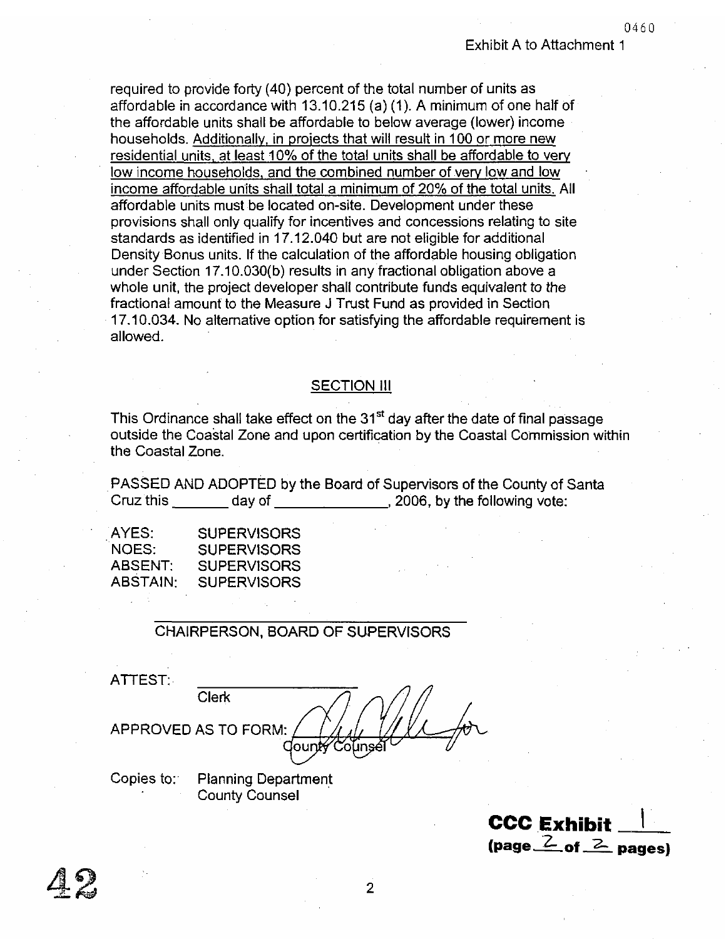0460

required to provide forty (40) percent of the total number of units as affordable in accordance with 13.10.215 (a)  $(1)$ . A minimum of one half of the affordable units shall be affordable to below average (lower) income households. Additionally, in projects that will result in 100 or more new residential units, at least 10% of the total units shall be affordable to very low income households, and the combined number of very low and low income affordable units shall total a minimum of 20% of the total units. All affordable units must be located on-site. Development under these provisions shall only qualify for incentives and concessions relating to site standards as identified in 17,12,040 but are not eligible for additional Density Bonus units. If the calculation of the affordable housing obligation under Section 17,10.030(b) results in any fractional obligation above a whole unit, the project developer shall contribute funds equivalent to the fractional amount to the Measure J Trust Fund as provided in Section 17.10.034. No alternative option for satisfying the affordable requirement is allowed.

## **SECTION III**

This Ordinance shall take effect on the 31<sup>st</sup> day after the date of final passage outside the Coastal Zone and upon certification by the Coastal Commission within the Coastal Zone.

PASSED AND ADOPTED by the Board of Supervisors of the County of Santa Cruz this day of the following vote:

| AYES:    | <b>SUPERVISORS</b> |
|----------|--------------------|
| NOES:    | <b>SUPERVISORS</b> |
| ABSENT:  | <b>SUPERVISORS</b> |
| ABSTAIN: | <b>SUPERVISORS</b> |

## **CHAIRPERSON, BOARD OF SUPERVISORS**

| ATTEST:    |                            |
|------------|----------------------------|
|            | Clerk                      |
|            | APPROVED AS TO FORM:       |
|            |                            |
| Copies to: | <b>Planning Department</b> |

**County Counsel** 

**CCC Exhibit** (page  $\frac{2}{5}$  of  $\frac{2}{5}$  pages)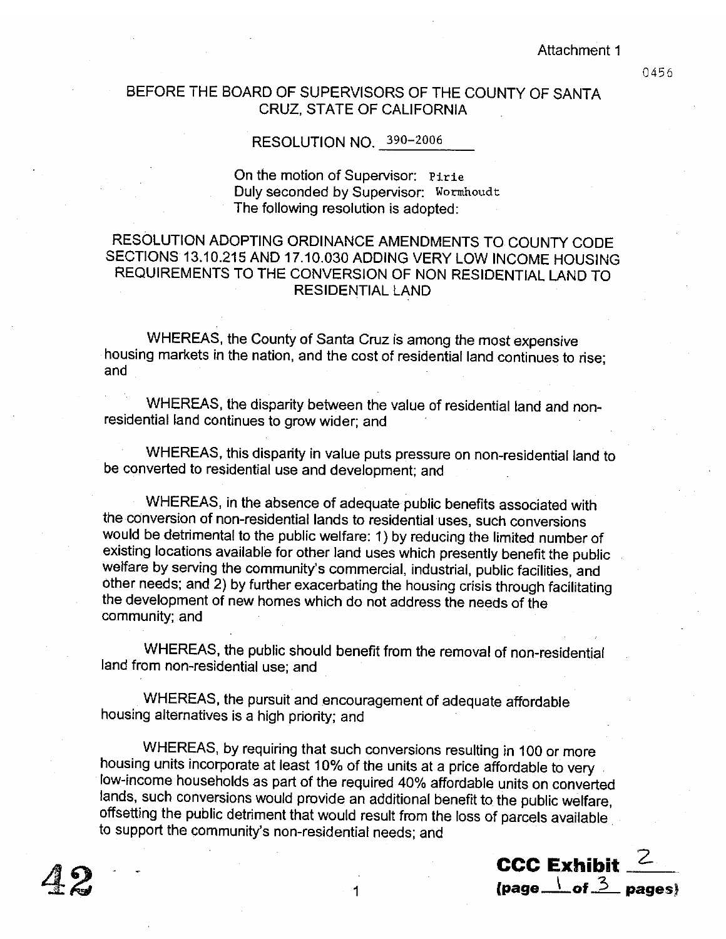Attachment 1

0456

## BEFORE THE BOARD OF SUPERVISORS OF THE COUNTY OF SANTA **CRUZ, STATE OF CALIFORNIA**

## RESOLUTION NO. 390-2006

On the motion of Supervisor: Pirie Duly seconded by Supervisor: Wormhoudt The following resolution is adopted:

## RESOLUTION ADOPTING ORDINANCE AMENDMENTS TO COUNTY CODE SECTIONS 13.10.215 AND 17.10.030 ADDING VERY LOW INCOME HOUSING REQUIREMENTS TO THE CONVERSION OF NON RESIDENTIAL LAND TO **RESIDENTIAL LAND**

WHEREAS, the County of Santa Cruz is among the most expensive housing markets in the nation, and the cost of residential land continues to rise: and

WHEREAS, the disparity between the value of residential land and nonresidential land continues to grow wider; and

WHEREAS, this disparity in value puts pressure on non-residential land to be converted to residential use and development; and

WHEREAS, in the absence of adequate public benefits associated with the conversion of non-residential lands to residential uses, such conversions would be detrimental to the public welfare: 1) by reducing the limited number of existing locations available for other land uses which presently benefit the public welfare by serving the community's commercial, industrial, public facilities, and other needs; and 2) by further exacerbating the housing crisis through facilitating the development of new homes which do not address the needs of the community; and

WHEREAS, the public should benefit from the removal of non-residential land from non-residential use; and

WHEREAS, the pursuit and encouragement of adequate affordable housing alternatives is a high priority; and

WHEREAS, by requiring that such conversions resulting in 100 or more housing units incorporate at least 10% of the units at a price affordable to very low-income households as part of the required 40% affordable units on converted lands, such conversions would provide an additional benefit to the public welfare, offsetting the public detriment that would result from the loss of parcels available to support the community's non-residential needs; and

CCC Exhibit  $^2$ (page  $\frac{1}{2}$  of  $\frac{3}{2}$  pages)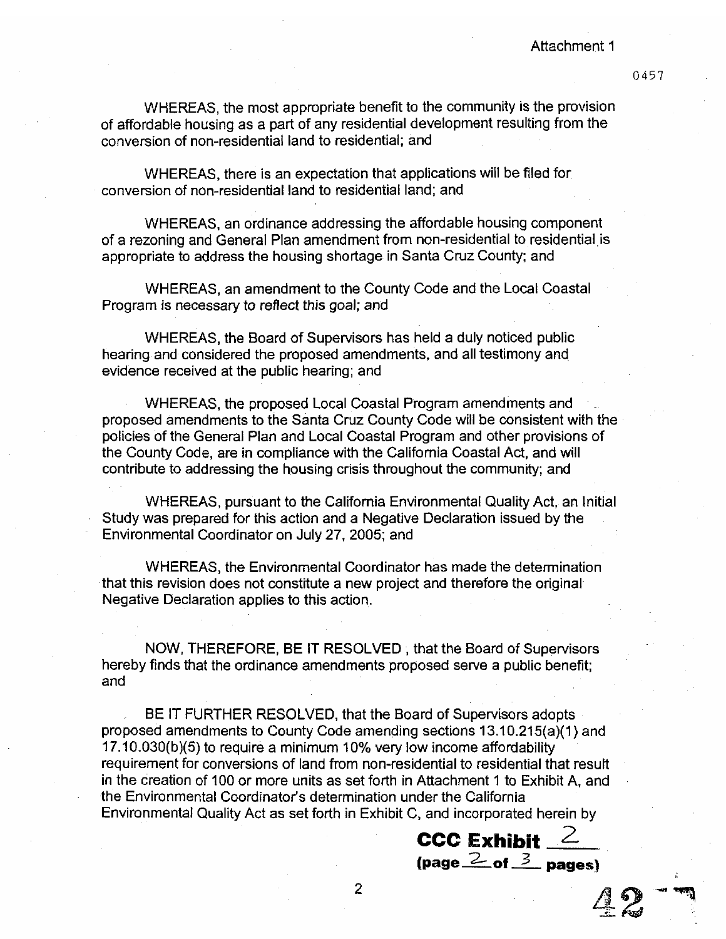#### Attachment 1

0457

WHEREAS, the most appropriate benefit to the community is the provision of affordable housing as a part of any residential development resulting from the conversion of non-residential land to residential; and

WHEREAS, there is an expectation that applications will be filed for conversion of non-residential land to residential land; and

WHEREAS, an ordinance addressing the affordable housing component of a rezoning and General Plan amendment from non-residential to residential is appropriate to address the housing shortage in Santa Cruz County; and

WHEREAS, an amendment to the County Code and the Local Coastal Program is necessary to reflect this goal; and

WHEREAS, the Board of Supervisors has held a duly noticed public hearing and considered the proposed amendments, and all testimony and evidence received at the public hearing; and

WHEREAS, the proposed Local Coastal Program amendments and proposed amendments to the Santa Cruz County Code will be consistent with the policies of the General Plan and Local Coastal Program and other provisions of the County Code, are in compliance with the California Coastal Act, and will contribute to addressing the housing crisis throughout the community; and

WHEREAS, pursuant to the California Environmental Quality Act, an Initial Study was prepared for this action and a Negative Declaration issued by the Environmental Coordinator on July 27, 2005; and

WHEREAS, the Environmental Coordinator has made the determination that this revision does not constitute a new project and therefore the original Negative Declaration applies to this action.

NOW, THEREFORE, BE IT RESOLVED; that the Board of Supervisors hereby finds that the ordinance amendments proposed serve a public benefit; and

BE IT FURTHER RESOLVED, that the Board of Supervisors adopts proposed amendments to County Code amending sections 13.10.215(a)(1) and 17.10.030(b)(5) to require a minimum 10% very low income affordability requirement for conversions of land from non-residential to residential that result in the creation of 100 or more units as set forth in Attachment 1 to Exhibit A, and the Environmental Coordinator's determination under the California Environmental Quality Act as set forth in Exhibit C, and incorporated herein by

**CCC Exhibit**  $\frac{2}{\text{(page 2- of 3 pages)}}$